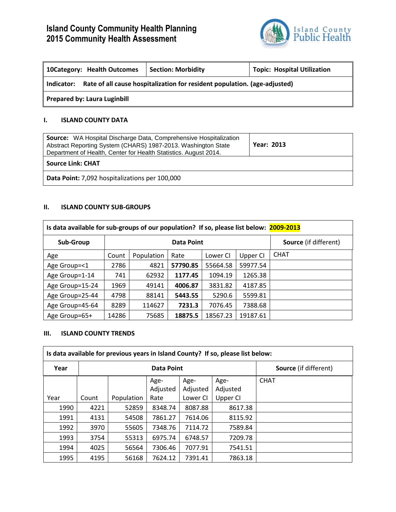# **Island County Community Health Planning 2015 Community Health Assessment**



| 10 Category: Health Outcomes                                                            | <b>Section: Morbidity</b> | <b>Topic: Hospital Utilization</b> |  |  |  |
|-----------------------------------------------------------------------------------------|---------------------------|------------------------------------|--|--|--|
| Rate of all cause hospitalization for resident population. (age-adjusted)<br>Indicator: |                           |                                    |  |  |  |
| <b>Prepared by: Laura Luginbill</b>                                                     |                           |                                    |  |  |  |

### **I. ISLAND COUNTY DATA**

| <b>Source:</b> WA Hospital Discharge Data, Comprehensive Hospitalization<br>Abstract Reporting System (CHARS) 1987-2013. Washington State<br>Department of Health, Center for Health Statistics. August 2014. | <b>Year: 2013</b> |
|---------------------------------------------------------------------------------------------------------------------------------------------------------------------------------------------------------------|-------------------|
| <b>Source Link: CHAT</b>                                                                                                                                                                                      |                   |
| Data Point: 7,092 hospitalizations per 100,000                                                                                                                                                                |                   |

### **II. ISLAND COUNTY SUB-GROUPS**

| Is data available for sub-groups of our population? If so, please list below: 2009-2013 |       |                                                   |          |          |          |             |  |
|-----------------------------------------------------------------------------------------|-------|---------------------------------------------------|----------|----------|----------|-------------|--|
| Sub-Group                                                                               |       | <b>Source</b> (if different)<br><b>Data Point</b> |          |          |          |             |  |
| Age                                                                                     | Count | Population                                        | Rate     | Lower CI | Upper CI | <b>CHAT</b> |  |
| Age Group=<1                                                                            | 2786  | 4821                                              | 57790.85 | 55664.58 | 59977.54 |             |  |
| Age Group=1-14                                                                          | 741   | 62932                                             | 1177.45  | 1094.19  | 1265.38  |             |  |
| Age Group=15-24                                                                         | 1969  | 49141                                             | 4006.87  | 3831.82  | 4187.85  |             |  |
| Age Group=25-44                                                                         | 4798  | 88141                                             | 5443.55  | 5290.6   | 5599.81  |             |  |
| Age Group=45-64                                                                         | 8289  | 114627                                            | 7231.3   | 7076.45  | 7388.68  |             |  |
| Age Group=65+                                                                           | 14286 | 75685                                             | 18875.5  | 18567.23 | 19187.61 |             |  |

#### **III. ISLAND COUNTY TRENDS**

| Is data available for previous years in Island County? If so, please list below: |                   |            |          |          |                              |             |
|----------------------------------------------------------------------------------|-------------------|------------|----------|----------|------------------------------|-------------|
| Year                                                                             | <b>Data Point</b> |            |          |          | <b>Source</b> (if different) |             |
|                                                                                  |                   |            | Age-     | Age-     | Age-                         | <b>CHAT</b> |
|                                                                                  |                   |            | Adjusted | Adjusted | Adjusted                     |             |
| Year                                                                             | Count             | Population | Rate     | Lower CI | Upper CI                     |             |
| 1990                                                                             | 4221              | 52859      | 8348.74  | 8087.88  | 8617.38                      |             |
| 1991                                                                             | 4131              | 54508      | 7861.27  | 7614.06  | 8115.92                      |             |
| 1992                                                                             | 3970              | 55605      | 7348.76  | 7114.72  | 7589.84                      |             |
| 1993                                                                             | 3754              | 55313      | 6975.74  | 6748.57  | 7209.78                      |             |
| 1994                                                                             | 4025              | 56564      | 7306.46  | 7077.91  | 7541.51                      |             |
| 1995                                                                             | 4195              | 56168      | 7624.12  | 7391.41  | 7863.18                      |             |